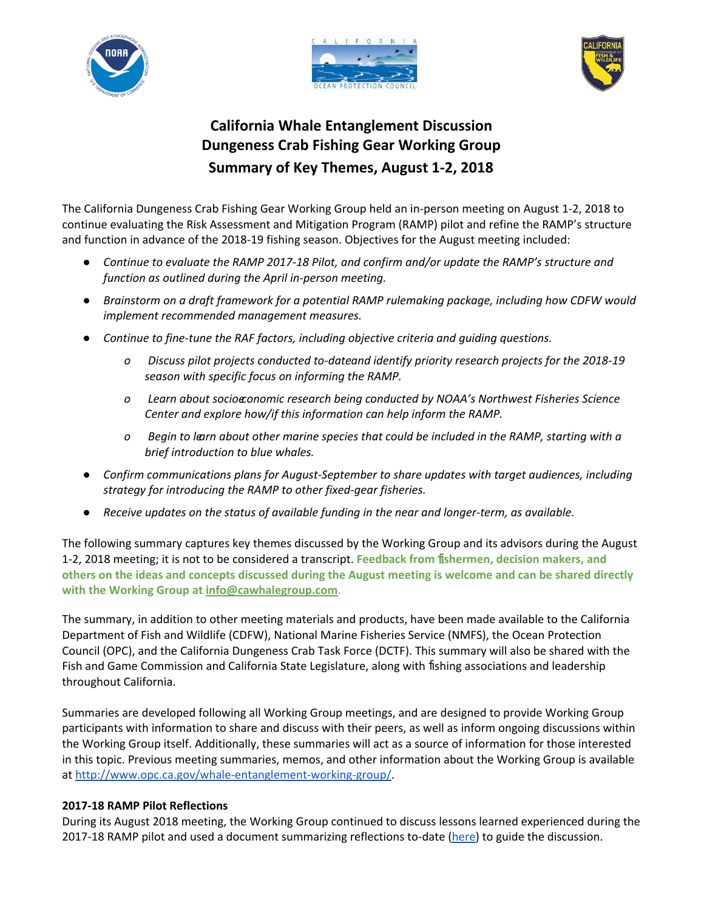





# **California Whale Entanglement Discussion Dungeness Crab Fishing Gear Working Group Summary of Key Themes, August 1-2, 2018**

 The California Dungeness Crab Fishing Gear Working Group held an in-person meeting on August 1-2, 2018 to continue evaluating the Risk Assessment and Mitigation Program (RAMP) pilot and refine the RAMP's structure and function in advance of the 2018-19 fishing season. Objectives for the August meeting included:

- Continue to evaluate the RAMP 2017-18 Pilot, and confirm and/or update the RAMP's structure and  *function as outlined during the April in-person meeting.*
- Brainstorm on a draft framework for a potential RAMP rulemaking package, including how CDFW would  *implement recommended management measures.*
- **•** Continue to fine-tune the RAF factors, including objective criteria and guiding questions.
	- *o Discuss pilot projects conducted to-date and identify priority research projects for the 2018-19 season with specific focus on informing the RAMP.*
	- *o Learn about socioeconomic research being conducted by NOAA's Northwest Fisheries Science Center and explore how/if this information can help inform the RAMP.*
	- *o Begin to learn about other marine species that could be included in the RAMP, starting with a brief introduction to blue whales.*
- Confirm communications plans for August-September to share updates with target audiences, including  *strategy for introducing the RAMP to other fixed-gear fisheries.*
- *● Receive updates on the status of available funding in the near and longer-term, as available.*

The following summary captures key themes discussed by the Working Group and its advisors during the August 1-2, 2018 meeting; it is not to be considered a transcript. Feedback from fishermen, decision makers, and **others on the ideas and concepts discussed during the August meeting is welcome and can be shared directly with the Working Group at [info@cawhalegroup.com](mailto:info@cawhalegroup.com)**.

 The summary, in addition to other meeting materials and products, have been made available to the California Department of Fish and Wildlife (CDFW), National Marine Fisheries Service (NMFS), the Ocean Protection Council (OPC), and the California Dungeness Crab Task Force (DCTF). This summary will also be shared with the Fish and Game Commission and California State Legislature, along with fishing associations and leadership throughout California.

Summaries are developed following all Working Group meetings, and are designed to provide Working Group participants with information to share and discuss with their peers, as well as inform ongoing discussions within the Working Group itself. Additionally, these summaries will act as a source of information for those interested in this topic. Previous meeting summaries, memos, and other information about the Working Group is available at<http://www.opc.ca.gov/whale-entanglement-working-group/>.

# **2017-18 RAMP Pilot Reflections**

During its August 2018 meeting, the Working Group continued to discuss lessons learned experienced during the 2017-18 RAMP pilot and used a document summarizing reflections to-date [\(here\)](https://docs.google.com/document/d/180SOA2Rvsfsbg_oeR0hBrX3l8qimPu4MMgt8Pn2KejM/edit) to guide the discussion.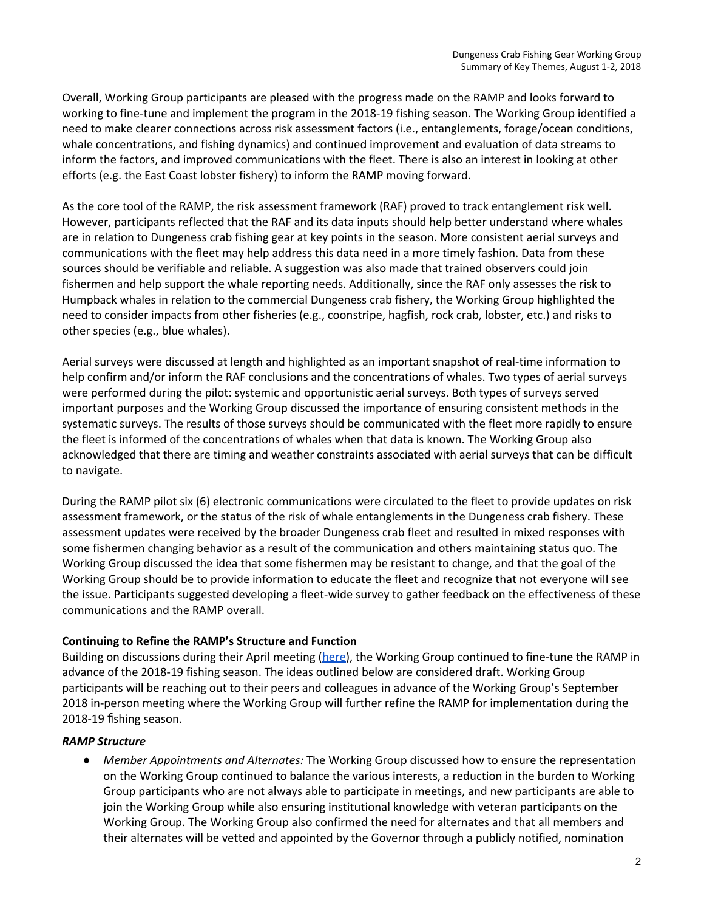Overall, Working Group participants are pleased with the progress made on the RAMP and looks forward to working to fine-tune and implement the program in the 2018-19 fishing season. The Working Group identified a need to make clearer connections across risk assessment factors (i.e., entanglements, forage/ocean conditions, whale concentrations, and fishing dynamics) and continued improvement and evaluation of data streams to inform the factors, and improved communications with the fleet. There is also an interest in looking at other efforts (e.g. the East Coast lobster fishery) to inform the RAMP moving forward.

 As the core tool of the RAMP, the risk assessment framework (RAF) proved to track entanglement risk well. However, participants reflected that the RAF and its data inputs should help better understand where whales are in relation to Dungeness crab fishing gear at key points in the season. More consistent aerial surveys and communications with the fleet may help address this data need in a more timely fashion. Data from these sources should be verifiable and reliable. A suggestion was also made that trained observers could join fishermen and help support the whale reporting needs. Additionally, since the RAF only assesses the risk to Humpback whales in relation to the commercial Dungeness crab fishery, the Working Group highlighted the need to consider impacts from other fisheries (e.g., coonstripe, hagfish, rock crab, lobster, etc.) and risks to other species (e.g., blue whales).

 Aerial surveys were discussed at length and highlighted as an important snapshot of real-time information to help confirm and/or inform the RAF conclusions and the concentrations of whales. Two types of aerial surveys were performed during the pilot: systemic and opportunistic aerial surveys. Both types of surveys served important purposes and the Working Group discussed the importance of ensuring consistent methods in the systematic surveys. The results of those surveys should be communicated with the fleet more rapidly to ensure the fleet is informed of the concentrations of whales when that data is known. The Working Group also acknowledged that there are timing and weather constraints associated with aerial surveys that can be difficult to navigate.

 During the RAMP pilot six (6) electronic communications were circulated to the fleet to provide updates on risk assessment framework, or the status of the risk of whale entanglements in the Dungeness crab fishery. These assessment updates were received by the broader Dungeness crab fleet and resulted in mixed responses with some fishermen changing behavior as a result of the communication and others maintaining status quo. The Working Group discussed the idea that some fishermen may be resistant to change, and that the goal of the Working Group should be to provide information to educate the fleet and recognize that not everyone will see the issue. Participants suggested developing a fleet-wide survey to gather feedback on the effectiveness of these communications and the RAMP overall.

## **Continuing to Refine the RAMP's Structure and Function**

Building on discussions during their April meeting [\(here\)](http://www.opc.ca.gov/webmaster/_media_library/2018/05/CAWorkingGroup_KeyThemesSummaryApril2018Meeting_FINAL.pdf), the Working Group continued to fine-tune the RAMP in advance of the 2018-19 fishing season. The ideas outlined below are considered draft. Working Group participants will be reaching out to their peers and colleagues in advance of the Working Group's September 2018 in-person meeting where the Working Group will further refine the RAMP for implementation during the 2018-19 fishing season.

## *RAMP Structure*

**•**  *Member Appointments and Alternates:* The Working Group discussed how to ensure the representation on the Working Group continued to balance the various interests, a reduction in the burden to Working Group participants who are not always able to participate in meetings, and new participants are able to join the Working Group while also ensuring institutional knowledge with veteran participants on the Working Group. The Working Group also confirmed the need for alternates and that all members and their alternates will be vetted and appointed by the Governor through a publicly notified, nomination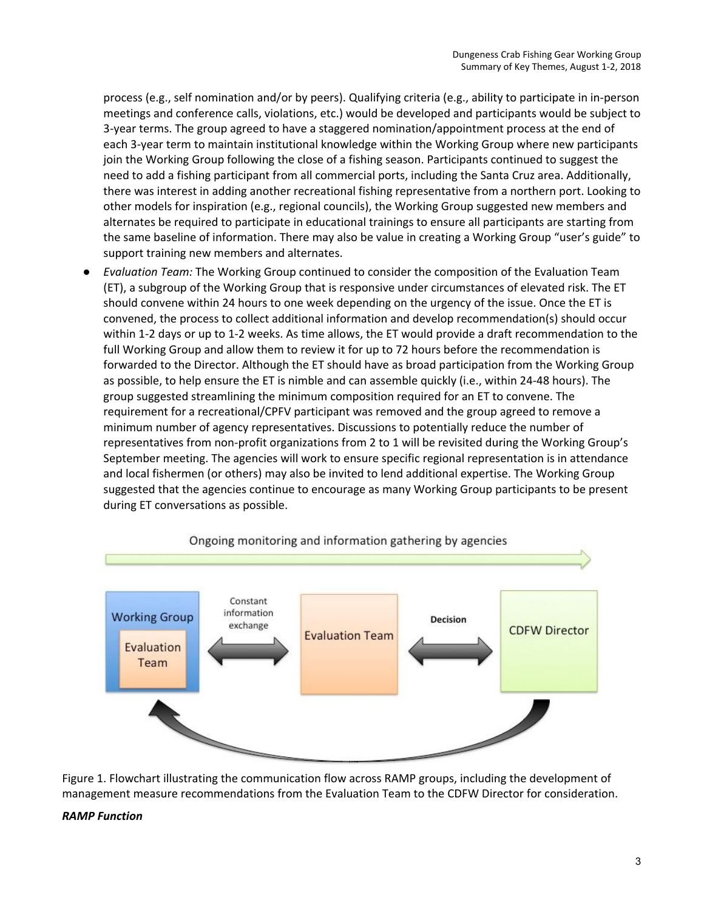process (e.g., self nomination and/or by peers). Qualifying criteria (e.g., ability to participate in in-person meetings and conference calls, violations, etc.) would be developed and participants would be subject to 3-year terms. The group agreed to have a staggered nomination/appointment process at the end of each 3-year term to maintain institutional knowledge within the Working Group where new participants join the Working Group following the close of a fishing season. Participants continued to suggest the need to add a fishing participant from all commercial ports, including the Santa Cruz area. Additionally, there was interest in adding another recreational fishing representative from a northern port. Looking to other models for inspiration (e.g., regional councils), the Working Group suggested new members and alternates be required to participate in educational trainings to ensure all participants are starting from the same baseline of information. There may also be value in creating a Working Group "user's guide" to support training new members and alternates.

 **●** *Evaluation Team:* The Working Group continued to consider the composition of the Evaluation Team (ET), a subgroup of the Working Group that is responsive under circumstances of elevated risk. The ET should convene within 24 hours to one week depending on the urgency of the issue. Once the ET is convened, the process to collect additional information and develop recommendation(s) should occur within 1-2 days or up to 1-2 weeks. As time allows, the ET would provide a draft recommendation to the full Working Group and allow them to review it for up to 72 hours before the recommendation is forwarded to the Director. Although the ET should have as broad participation from the Working Group as possible, to help ensure the ET is nimble and can assemble quickly (i.e., within 24-48 hours). The group suggested streamlining the minimum composition required for an ET to convene. The requirement for a recreational/CPFV participant was removed and the group agreed to remove a minimum number of agency representatives. Discussions to potentially reduce the number of representatives from non-profit organizations from 2 to 1 will be revisited during the Working Group's September meeting. The agencies will work to ensure specific regional representation is in attendance and local fishermen (or others) may also be invited to lend additional expertise. The Working Group suggested that the agencies continue to encourage as many Working Group participants to be present during ET conversations as possible.



# Ongoing monitoring and information gathering by agencies

 Figure 1. Flowchart illustrating the communication flow across RAMP groups, including the development of management measure recommendations from the Evaluation Team to the CDFW Director for consideration.

#### *RAMP Function*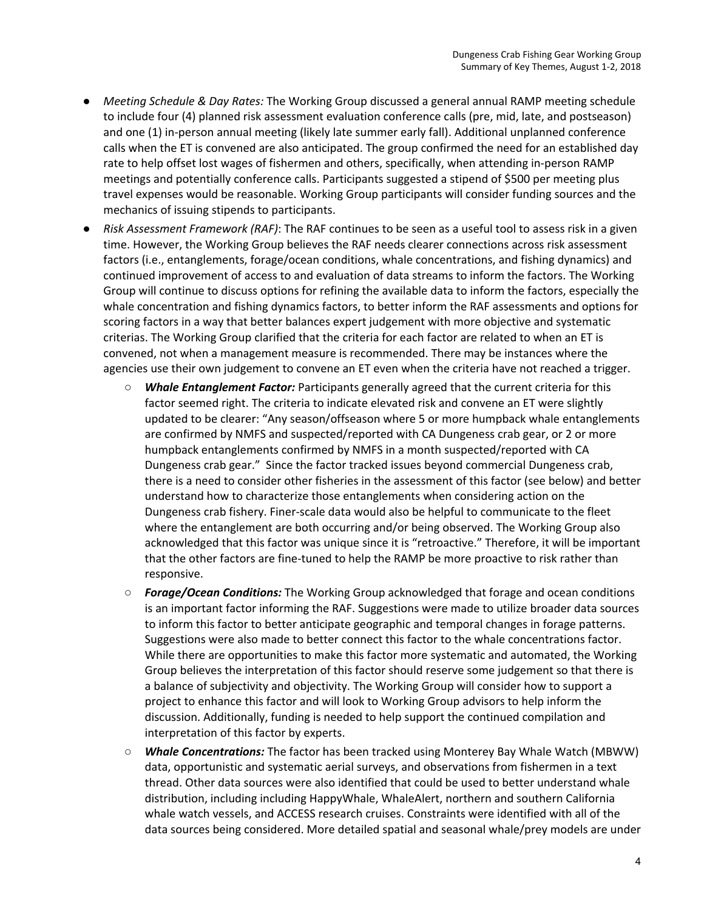- **●** *Meeting Schedule & Day Rates:* The Working Group discussed a general annual RAMP meeting schedule to include four (4) planned risk assessment evaluation conference calls (pre, mid, late, and postseason) and one (1) in-person annual meeting (likely late summer early fall). Additional unplanned conference calls when the ET is convened are also anticipated. The group confirmed the need for an established day rate to help offset lost wages of fishermen and others, specifically, when attending in-person RAMP meetings and potentially conference calls. Participants suggested a stipend of \$500 per meeting plus travel expenses would be reasonable. Working Group participants will consider funding sources and the mechanics of issuing stipends to participants.
- Risk Assessment Framework (RAF): The RAF continues to be seen as a useful tool to assess risk in a given time. However, the Working Group believes the RAF needs clearer connections across risk assessment factors (i.e., entanglements, forage/ocean conditions, whale concentrations, and fishing dynamics) and continued improvement of access to and evaluation of data streams to inform the factors. The Working Group will continue to discuss options for refining the available data to inform the factors, especially the whale concentration and fishing dynamics factors, to better inform the RAF assessments and options for scoring factors in a way that better balances expert judgement with more objective and systematic criterias. The Working Group clarified that the criteria for each factor are related to when an ET is convened, not when a management measure is recommended. There may be instances where the agencies use their own judgement to convene an ET even when the criteria have not reached a trigger.
	- *Whale Entanglement Factor: Participants generally agreed that the current criteria for this*  factor seemed right. The criteria to indicate elevated risk and convene an ET were slightly updated to be clearer: "Any season/offseason where 5 or more humpback whale entanglements are confirmed by NMFS and suspected/reported with CA Dungeness crab gear, or 2 or more humpback entanglements confirmed by NMFS in a month suspected/reported with CA Dungeness crab gear." Since the factor tracked issues beyond commercial Dungeness crab, there is a need to consider other fisheries in the assessment of this factor (see below) and better understand how to characterize those entanglements when considering action on the Dungeness crab fishery. Finer-scale data would also be helpful to communicate to the fleet where the entanglement are both occurring and/or being observed. The Working Group also acknowledged that this factor was unique since it is "retroactive." Therefore, it will be important that the other factors are fine-tuned to help the RAMP be more proactive to risk rather than responsive.
	- *○ Forage/Ocean Conditions:* The Working Group acknowledged that forage and ocean conditions is an important factor informing the RAF. Suggestions were made to utilize broader data sources to inform this factor to better anticipate geographic and temporal changes in forage patterns. Suggestions were also made to better connect this factor to the whale concentrations factor. While there are opportunities to make this factor more systematic and automated, the Working Group believes the interpretation of this factor should reserve some judgement so that there is a balance of subjectivity and objectivity. The Working Group will consider how to support a project to enhance this factor and will look to Working Group advisors to help inform the discussion. Additionally, funding is needed to help support the continued compilation and interpretation of this factor by experts.
	- *○ Whale Concentrations:* The factor has been tracked using Monterey Bay Whale Watch (MBWW) data, opportunistic and systematic aerial surveys, and observations from fishermen in a text thread. Other data sources were also identified that could be used to better understand whale distribution, including including HappyWhale, WhaleAlert, northern and southern California whale watch vessels, and ACCESS research cruises. Constraints were identified with all of the data sources being considered. More detailed spatial and seasonal whale/prey models are under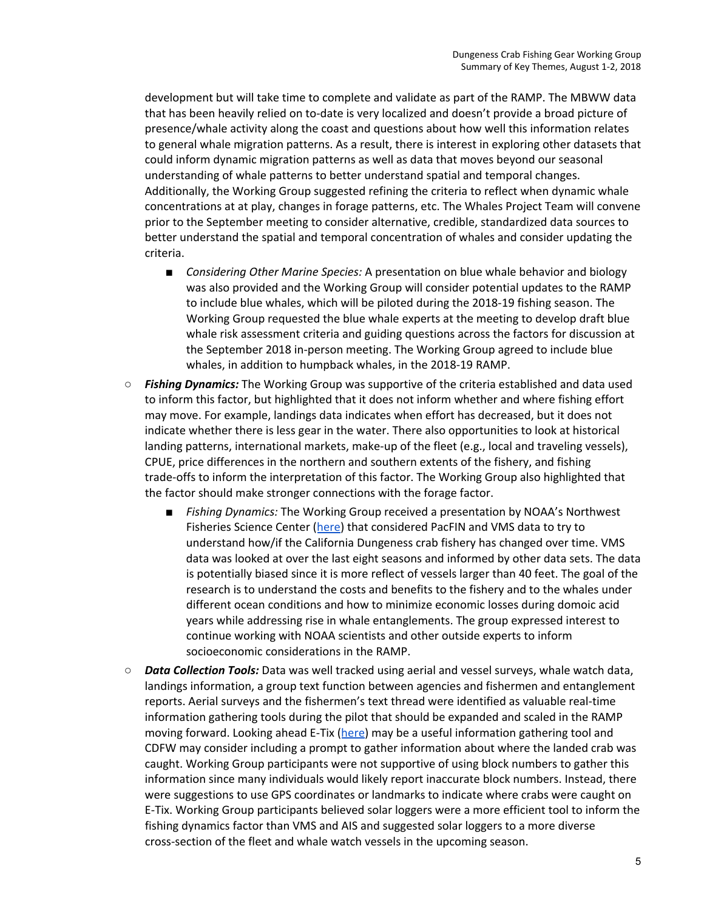development but will take time to complete and validate as part of the RAMP. The MBWW data that has been heavily relied on to-date is very localized and doesn't provide a broad picture of presence/whale activity along the coast and questions about how well this information relates to general whale migration patterns. As a result, there is interest in exploring other datasets that could inform dynamic migration patterns as well as data that moves beyond our seasonal understanding of whale patterns to better understand spatial and temporal changes. Additionally, the Working Group suggested refining the criteria to reflect when dynamic whale concentrations at at play, changes in forage patterns, etc. The Whales Project Team will convene prior to the September meeting to consider alternative, credible, standardized data sources to better understand the spatial and temporal concentration of whales and consider updating the criteria.

- *Considering Other Marine Species:* A presentation on blue whale behavior and biology was also provided and the Working Group will consider potential updates to the RAMP to include blue whales, which will be piloted during the 2018-19 fishing season. The Working Group requested the blue whale experts at the meeting to develop draft blue whale risk assessment criteria and guiding questions across the factors for discussion at the September 2018 in-person meeting. The Working Group agreed to include blue whales, in addition to humpback whales, in the 2018-19 RAMP.
- **Fishing Dynamics:** The Working Group was supportive of the criteria established and data used to inform this factor, but highlighted that it does not inform whether and where fishing effort may move. For example, landings data indicates when effort has decreased, but it does not indicate whether there is less gear in the water. There also opportunities to look at historical landing patterns, international markets, make-up of the fleet (e.g., local and traveling vessels), CPUE, price differences in the northern and southern extents of the fishery, and fishing trade-offs to inform the interpretation of this factor. The Working Group also highlighted that the factor should make stronger connections with the forage factor.
	- *Fishing Dynamics:* The Working Group received a presentation by NOAA's Northwest Fisheries Science Center ([here](https://drive.google.com/open?id=19MS4OJ_V0mOnpvcHa6sTz_9azTMnX8qi)) that considered PacFIN and VMS data to try to understand how/if the California Dungeness crab fishery has changed over time. VMS data was looked at over the last eight seasons and informed by other data sets. The data is potentially biased since it is more reflect of vessels larger than 40 feet. The goal of the research is to understand the costs and benefits to the fishery and to the whales under different ocean conditions and how to minimize economic losses during domoic acid years while addressing rise in whale entanglements. The group expressed interest to continue working with NOAA scientists and other outside experts to inform socioeconomic considerations in the RAMP.
- *Data Collection Tools:* Data was well tracked using aerial and vessel surveys, whale watch data, landings information, a group text function between agencies and fishermen and entanglement reports. Aerial surveys and the fishermen's text thread were identified as valuable real-time information gathering tools during the pilot that should be expanded and scaled in the RAMP moving forward. Looking ahead E-Tix ([here](https://cdfgnews.wordpress.com/2018/07/06/cdfw-launches-electronic-reporting-system-for-commercial-anglers/)) may be a useful information gathering tool and CDFW may consider including a prompt to gather information about where the landed crab was caught. Working Group participants were not supportive of using block numbers to gather this information since many individuals would likely report inaccurate block numbers. Instead, there were suggestions to use GPS coordinates or landmarks to indicate where crabs were caught on E-Tix. Working Group participants believed solar loggers were a more efficient tool to inform the fishing dynamics factor than VMS and AIS and suggested solar loggers to a more diverse cross-section of the fleet and whale watch vessels in the upcoming season.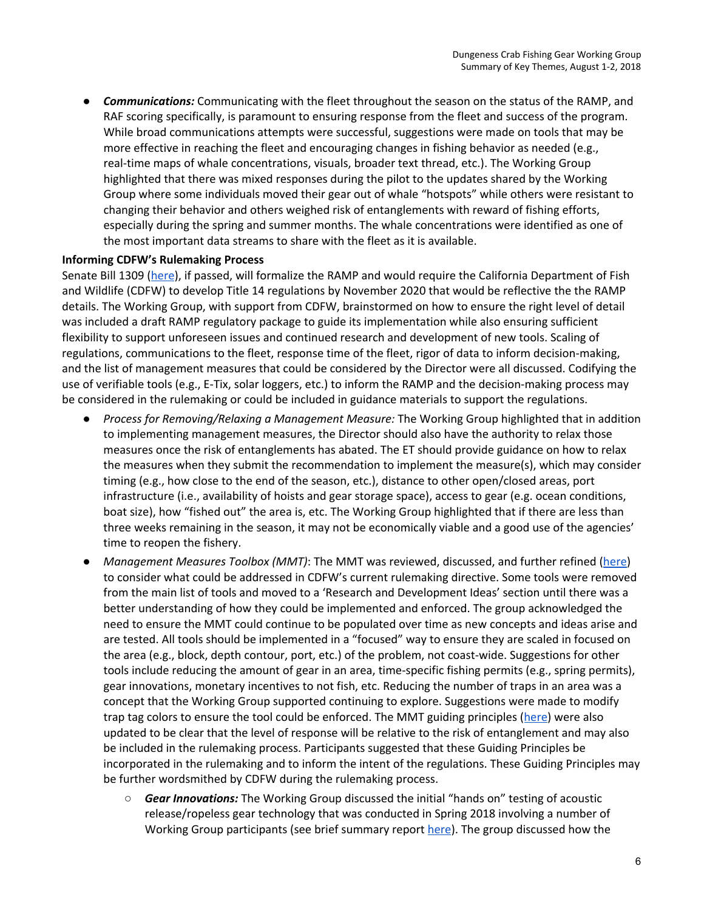*● Communications:* Communicating with the fleet throughout the season on the status of the RAMP, and RAF scoring specifically, is paramount to ensuring response from the fleet and success of the program. While broad communications attempts were successful, suggestions were made on tools that may be more effective in reaching the fleet and encouraging changes in fishing behavior as needed (e.g., real-time maps of whale concentrations, visuals, broader text thread, etc.). The Working Group highlighted that there was mixed responses during the pilot to the updates shared by the Working Group where some individuals moved their gear out of whale "hotspots" while others were resistant to changing their behavior and others weighed risk of entanglements with reward of fishing efforts, especially during the spring and summer months. The whale concentrations were identified as one of the most important data streams to share with the fleet as it is available.

## **Informing CDFW's Rulemaking Process**

Senate Bill 1309 [\(](http://leginfo.legislature.ca.gov/faces/billNavClient.xhtml?bill_id=201720180SB1309)[here\)](http://leginfo.legislature.ca.gov/faces/billNavClient.xhtml?bill_id=201720180SB1309), if passed, will formalize the RAMP and would require the California Department of Fish and Wildlife (CDFW) to develop Title 14 regulations by November 2020 that would be reflective the the RAMP details. The Working Group, with support from CDFW, brainstormed on how to ensure the right level of detail was included a draft RAMP regulatory package to guide its implementation while also ensuring sufficient flexibility to support unforeseen issues and continued research and development of new tools. Scaling of regulations, communications to the fleet, response time of the fleet, rigor of data to inform decision-making, and the list of management measures that could be considered by the Director were all discussed. Codifying the use of verifiable tools (e.g., E-Tix, solar loggers, etc.) to inform the RAMP and the decision-making process may be considered in the rulemaking or could be included in guidance materials to support the regulations.

- Process for Removing/Relaxing a Management Measure: The Working Group highlighted that in addition to implementing management measures, the Director should also have the authority to relax those measures once the risk of entanglements has abated. The ET should provide guidance on how to relax the measures when they submit the recommendation to implement the measure(s), which may consider timing (e.g., how close to the end of the season, etc.), distance to other open/closed areas, port infrastructure (i.e., availability of hoists and gear storage space), access to gear (e.g. ocean conditions, boat size), how "fished out" the area is, etc. The Working Group highlighted that if there are less than three weeks remaining in the season, it may not be economically viable and a good use of the agencies' time to reopen the fishery.
- *Management Measures Toolbox (MMT)*: The MMT was reviewed, discussed, and further refined ([here](http://www.opc.ca.gov/webmaster/_media_library/2018/08/RAMP_DraftMMT_Public-Consideration_August2018.pdf)) to consider what could be addressed in CDFW 's current rulemaking directive. Some tools were removed from the main list of tools and moved to a 'Research and Development Ideas' section until there was a better understanding of how they could be implemented and enforced. The group acknowledged the need to ensure the MMT could continue to be populated over time as new concepts and ideas arise and are tested. All tools should be implemented in a "focused" way to ensure they are scaled in focused on the area (e.g., block, depth contour, port, etc.) of the problem, not coast-wide. Suggestions for other tools include reducing the amount of gear in an area, time-specific fishing permits (e.g., spring permits), gear innovations, monetary incentives to not fish, etc. Reducing the number of traps in an area was a concept that the Working Group supported continuing to explore. Suggestions were made to modify trap tag colors to ensure the tool could be enforced. The MMT guiding principles ([here](http://www.opc.ca.gov/webmaster/_media_library/2018/08/Whales_-Draft-Guiding-Principles-RAMP-Updated-August-2018.pdf)) were also updated to be clear that the level of response will be relative to the risk of entanglement and may also be included in the rulemaking process. Participants suggested that these Guiding Principles be incorporated in the rulemaking and to inform the intent of the regulations. These Guiding Principles may be further wordsmithed by CDFW during the rulemaking process.
	- **Gear Innovations:** The Working Group discussed the initial "hands on" testing of acoustic release/ropeless gear technology that was conducted in Spring 2018 involving a number of Working Group participants (see brief summary report [here](http://www.opc.ca.gov/webmaster/_media_library/2018/08/ropeless-trials-update7-30-18.pdf)). The group discussed how the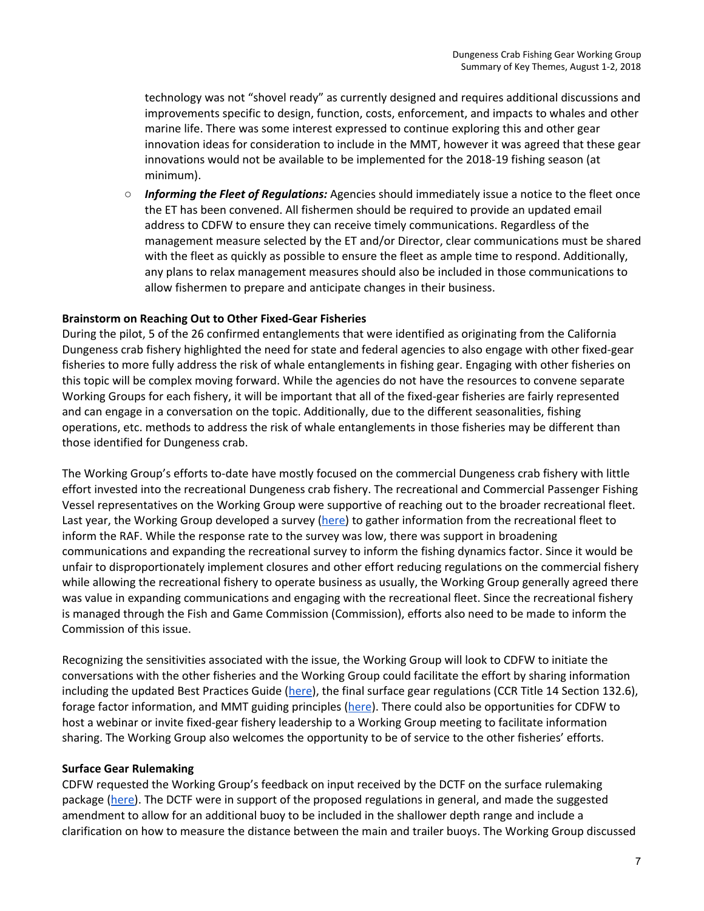technology was not "shovel ready" as currently designed and requires additional discussions and improvements specific to design, function, costs, enforcement, and impacts to whales and other marine life. There was some interest expressed to continue exploring this and other gear innovation ideas for consideration to include in the MMT, however it was agreed that these gear innovations would not be available to be implemented for the 2018-19 fishing season (at minimum).

○ *Informing the Fleet of Regulations:* Agencies should immediately issue a notice to the fleet once the ET has been convened. All fishermen should be required to provide an updated email address to CDFW to ensure they can receive timely communications. Regardless of the management measure selected by the ET and/or Director, clear communications must be shared with the fleet as quickly as possible to ensure the fleet as ample time to respond. Additionally, any plans to relax management measures should also be included in those communications to allow fishermen to prepare and anticipate changes in their business.

## **Brainstorm on Reaching Out to Other Fixed-Gear Fisheries**

 During the pilot, 5 of the 26 confirmed entanglements that were identified as originating from the California Dungeness crab fishery highlighted the need for state and federal agencies to also engage with other fixed-gear fisheries to more fully address the risk of whale entanglements in fishing gear. Engaging with other fisheries on this topic will be complex moving forward. While the agencies do not have the resources to convene separate Working Groups for each fishery, it will be important that all of the fixed-gear fisheries are fairly represented and can engage in a conversation on the topic. Additionally, due to the different seasonalities, fishing operations, etc. methods to address the risk of whale entanglements in those fisheries may be different than those identified for Dungeness crab.

The Working Group's efforts to-date have mostly focused on the commercial Dungeness crab fishery with little effort invested into the recreational Dungeness crab fishery. The recreational and Commercial Passenger Fishing Vessel representatives on the Working Group were supportive of reaching out to the broader recreational fleet. Last year, the Working Group developed a survey ([here\)](https://goo.gl/forms/e7PapeIAdd3RX9cX2) to gather information from the recreational fleet to inform the RAF. While the response rate to the survey was low, there was support in broadening communications and expanding the recreational survey to inform the fishing dynamics factor. Since it would be unfair to disproportionately implement closures and other effort reducing regulations on the commercial fishery while allowing the recreational fishery to operate business as usually, the Working Group generally agreed there was value in expanding communications and engaging with the recreational fleet. Since the recreational fishery is managed through the Fish and Game Commission (Commission), efforts also need to be made to inform the Commission of this issue .

Recognizing the sensitivities associated with the issue, the Working Group will look to CDFW to initiate the conversations with the other fisheries and the Working Group could facilitate the effort by sharing information including the updated Best Practices Guide [\(here\)](http://www.opc.ca.gov/webmaster/_media_library/2016/08/Whales_BestPracticesGuide_2017-18.pdf), the final surface gear regulations (CCR Title 14 Section 132.6), forage factor information, and MMT guiding principles ([here](http://www.opc.ca.gov/webmaster/_media_library/2018/08/Whales_-Draft-Guiding-Principles-RAMP-Updated-August-2018.pdf)). There could also be opportunities for CDFW to host a webinar or invite fixed-gear fishery leadership to a Working Group meeting to facilitate information sharing. The Working Group also welcomes the opportunity to be of service to the other fisheries' efforts.

## **Surface Gear Rulemaking**

CDFW requested the Working Group's feedback on input received by the DCTF on the surface rulemaking package ([here\)](http://www.opc.ca.gov/webmaster/_media_library/2018/06/DCTF_PublicComment_T14_SurfaceGear_June2018_FINAL.pdf). The DCTF were in support of the proposed regulations in general, and made the suggested amendment to allow for an additional buoy to be included in the shallower depth range and include a clarification on how to measure the distance between the main and trailer buoys. The Working Group discussed